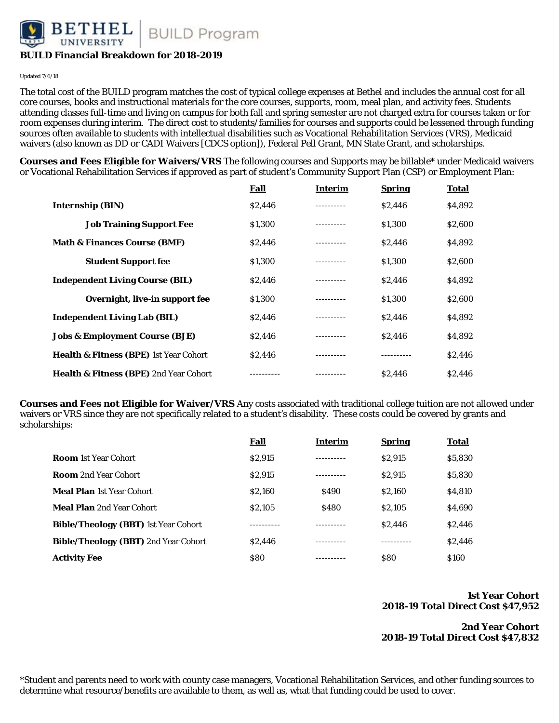HEL **BUILD Program** 

### **BUILD Financial Breakdown for 2018-2019**

Updated 7/6/18

The total cost of the BUILD program matches the cost of typical college expenses at Bethel and includes the annual cost for all core courses, books and instructional materials for the core courses, supports, room, meal plan, and activity fees. Students attending classes full-time and living on campus for both fall and spring semester are not charged extra for courses taken or for room expenses during interim. The direct cost to students/families for courses and supports could be lessened through funding sources often available to students with intellectual disabilities such as Vocational Rehabilitation Services (VRS), Medicaid waivers (also known as DD or CADI Waivers [CDCS option]), Federal Pell Grant, MN State Grant, and scholarships.

**Courses and Fees Eligible for Waivers/VRS** The following courses and Supports may be billable\* under Medicaid waivers or Vocational Rehabilitation Services if approved as part of student's Community Support Plan (CSP) or Employment Plan:

|                                                   | <b>Fall</b> | Interim    | <b>Spring</b> | Total   |
|---------------------------------------------------|-------------|------------|---------------|---------|
| <b>Internship (BIN)</b>                           | \$2,446     | .          | \$2,446       | \$4,892 |
| <b>Job Training Support Fee</b>                   | \$1,300     |            | \$1,300       | \$2,600 |
| <b>Math &amp; Finances Course (BMF)</b>           | \$2.446     | . <u>.</u> | \$2.446       | \$4,892 |
| <b>Student Support fee</b>                        | \$1,300     | ---------- | \$1,300       | \$2,600 |
| <b>Independent Living Course (BIL)</b>            | \$2,446     | ---------  | \$2,446       | \$4,892 |
| Overnight, live-in support fee                    | \$1.300     | ---------- | \$1,300       | \$2,600 |
| <b>Independent Living Lab (BIL)</b>               | \$2,446     | ---------- | \$2,446       | \$4,892 |
| <b>Jobs &amp; Employment Course (BJE)</b>         | \$2,446     |            | \$2,446       | \$4,892 |
| <b>Health &amp; Fitness (BPE)</b> 1st Year Cohort | \$2.446     |            |               | \$2,446 |
| <b>Health &amp; Fitness (BPE)</b> 2nd Year Cohort |             | ---------- | \$2.446       | \$2.446 |

**Courses and Fees not Eligible for Waiver/VRS** Any costs associated with traditional college tuition are not allowed under waivers or VRS since they are not specifically related to a student's disability. These costs could be covered by grants and scholarships:

|                                             | Fall       | Interim     | <b>Spring</b> | Total       |
|---------------------------------------------|------------|-------------|---------------|-------------|
| <b>Room</b> 1st Year Cohort                 | \$2,915    |             | \$2,915       | \$5,830     |
| <b>Room</b> 2nd Year Cohort                 | \$2,915    |             | \$2,915       | \$5,830     |
| <b>Meal Plan</b> 1st Year Cohort            | \$2.160    | <b>S490</b> | \$2,160       | \$4,810     |
| <b>Meal Plan</b> 2nd Year Cohort            | \$2.105    | <b>S480</b> | \$2,105       | \$4,690     |
| <b>Bible/Theology (BBT)</b> 1st Year Cohort |            |             | \$2.446       | \$2.446     |
| <b>Bible/Theology (BBT)</b> 2nd Year Cohort | \$2,446    |             |               | \$2.446     |
| <b>Activity Fee</b>                         | <b>S80</b> |             | <b>S80</b>    | <b>S160</b> |

#### **1st Year Cohort 2018-19 Total Direct Cost \$47,952**

**2nd Year Cohort 2018-19 Total Direct Cost \$47,832**

\*Student and parents need to work with county case managers, Vocational Rehabilitation Services, and other funding sources to determine what resource/benefits are available to them, as well as, what that funding could be used to cover.